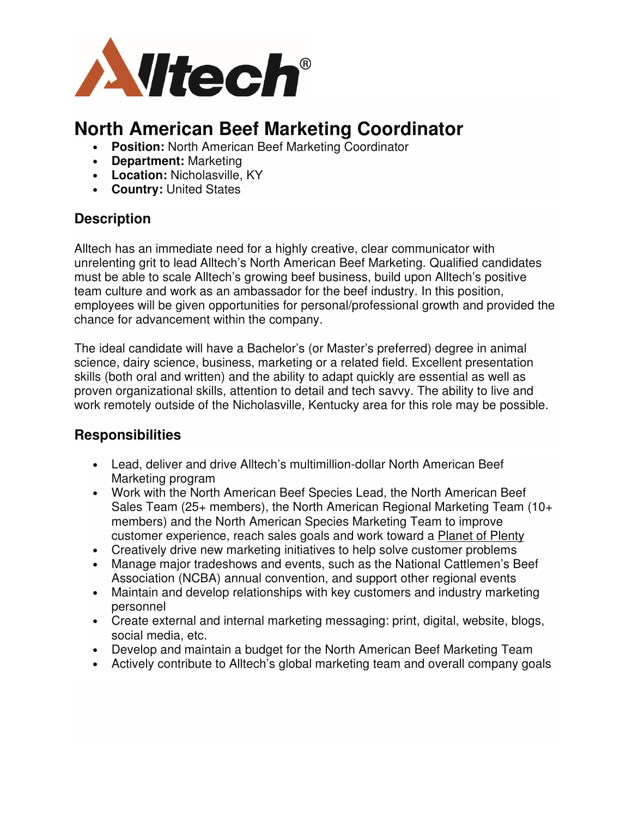

# **North American Beef Marketing Coordinator**

- **Position:** North American Beef Marketing Coordinator
- **Department:** Marketing
- **Location:** Nicholasville, KY
- **Country:** United States

### **Description**

Alltech has an immediate need for a highly creative, clear communicator with unrelenting grit to lead Alltech's North American Beef Marketing. Qualified candidates must be able to scale Alltech's growing beef business, build upon Alltech's positive team culture and work as an ambassador for the beef industry. In this position, employees will be given opportunities for personal/professional growth and provided the chance for advancement within the company.

The ideal candidate will have a Bachelor's (or Master's preferred) degree in animal science, dairy science, business, marketing or a related field. Excellent presentation skills (both oral and written) and the ability to adapt quickly are essential as well as proven organizational skills, attention to detail and tech savvy. The ability to live and work remotely outside of the Nicholasville, Kentucky area for this role may be possible.

# **Responsibilities**

- Lead, deliver and drive Alltech's multimillion-dollar North American Beef Marketing program
- Work with the North American Beef Species Lead, the North American Beef Sales Team (25+ members), the North American Regional Marketing Team (10+ members) and the North American Species Marketing Team to improve customer experience, reach sales goals and work toward a Planet of Plenty
- Creatively drive new marketing initiatives to help solve customer problems
- Manage major tradeshows and events, such as the National Cattlemen's Beef Association (NCBA) annual convention, and support other regional events
- Maintain and develop relationships with key customers and industry marketing personnel
- Create external and internal marketing messaging: print, digital, website, blogs, social media, etc.
- Develop and maintain a budget for the North American Beef Marketing Team
- Actively contribute to Alltech's global marketing team and overall company goals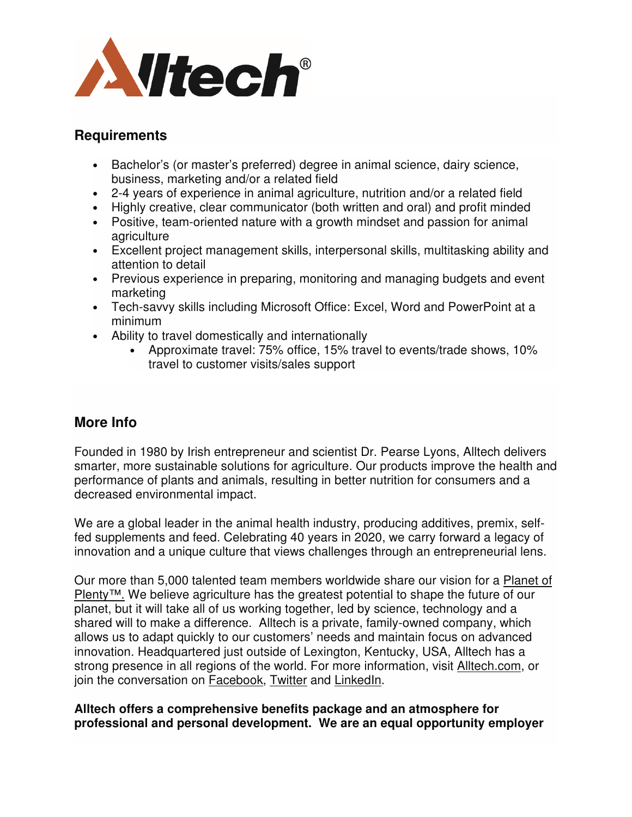

#### **Requirements**

- Bachelor's (or master's preferred) degree in animal science, dairy science, business, marketing and/or a related field
- 2-4 years of experience in animal agriculture, nutrition and/or a related field
- Highly creative, clear communicator (both written and oral) and profit minded
- Positive, team-oriented nature with a growth mindset and passion for animal agriculture
- Excellent project management skills, interpersonal skills, multitasking ability and attention to detail
- Previous experience in preparing, monitoring and managing budgets and event marketing
- Tech-savvy skills including Microsoft Office: Excel, Word and PowerPoint at a minimum
- Ability to travel domestically and internationally
	- Approximate travel: 75% office, 15% travel to events/trade shows, 10% travel to customer visits/sales support

# **More Info**

Founded in 1980 by Irish entrepreneur and scientist Dr. Pearse Lyons, Alltech delivers smarter, more sustainable solutions for agriculture. Our products improve the health and performance of plants and animals, resulting in better nutrition for consumers and a decreased environmental impact.

We are a global leader in the animal health industry, producing additives, premix, selffed supplements and feed. Celebrating 40 years in 2020, we carry forward a legacy of innovation and a unique culture that views challenges through an entrepreneurial lens.

Our more than 5,000 talented team members worldwide share our vision for a Planet of Plenty™. We believe agriculture has the greatest potential to shape the future of our planet, but it will take all of us working together, led by science, technology and a shared will to make a difference. Alltech is a private, family-owned company, which allows us to adapt quickly to our customers' needs and maintain focus on advanced innovation. Headquartered just outside of Lexington, Kentucky, USA, Alltech has a strong presence in all regions of the world. For more information, visit Alltech.com, or join the conversation on Facebook, Twitter and LinkedIn.

#### **Alltech offers a comprehensive benefits package and an atmosphere for professional and personal development. We are an equal opportunity employer**